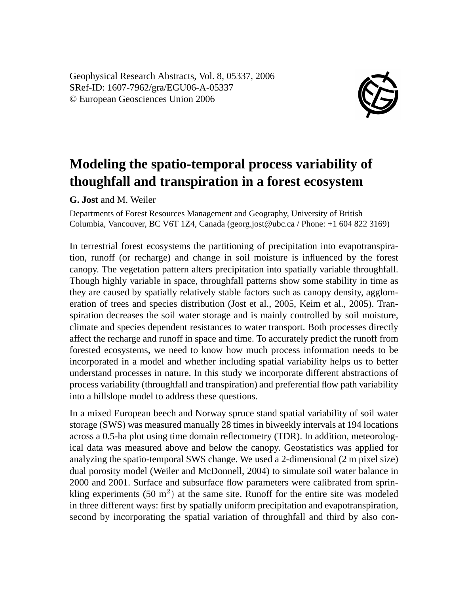Geophysical Research Abstracts, Vol. 8, 05337, 2006 SRef-ID: 1607-7962/gra/EGU06-A-05337 © European Geosciences Union 2006



## **Modeling the spatio-temporal process variability of thoughfall and transpiration in a forest ecosystem**

**G. Jost** and M. Weiler

Departments of Forest Resources Management and Geography, University of British Columbia, Vancouver, BC V6T 1Z4, Canada (georg.jost@ubc.ca / Phone: +1 604 822 3169)

In terrestrial forest ecosystems the partitioning of precipitation into evapotranspiration, runoff (or recharge) and change in soil moisture is influenced by the forest canopy. The vegetation pattern alters precipitation into spatially variable throughfall. Though highly variable in space, throughfall patterns show some stability in time as they are caused by spatially relatively stable factors such as canopy density, agglomeration of trees and species distribution (Jost et al., 2005, Keim et al., 2005). Transpiration decreases the soil water storage and is mainly controlled by soil moisture, climate and species dependent resistances to water transport. Both processes directly affect the recharge and runoff in space and time. To accurately predict the runoff from forested ecosystems, we need to know how much process information needs to be incorporated in a model and whether including spatial variability helps us to better understand processes in nature. In this study we incorporate different abstractions of process variability (throughfall and transpiration) and preferential flow path variability into a hillslope model to address these questions.

In a mixed European beech and Norway spruce stand spatial variability of soil water storage (SWS) was measured manually 28 times in biweekly intervals at 194 locations across a 0.5-ha plot using time domain reflectometry (TDR). In addition, meteorological data was measured above and below the canopy. Geostatistics was applied for analyzing the spatio-temporal SWS change. We used a 2-dimensional (2 m pixel size) dual porosity model (Weiler and McDonnell, 2004) to simulate soil water balance in 2000 and 2001. Surface and subsurface flow parameters were calibrated from sprinkling experiments  $(50 \text{ m}^2)$  at the same site. Runoff for the entire site was modeled in three different ways: first by spatially uniform precipitation and evapotranspiration, second by incorporating the spatial variation of throughfall and third by also con